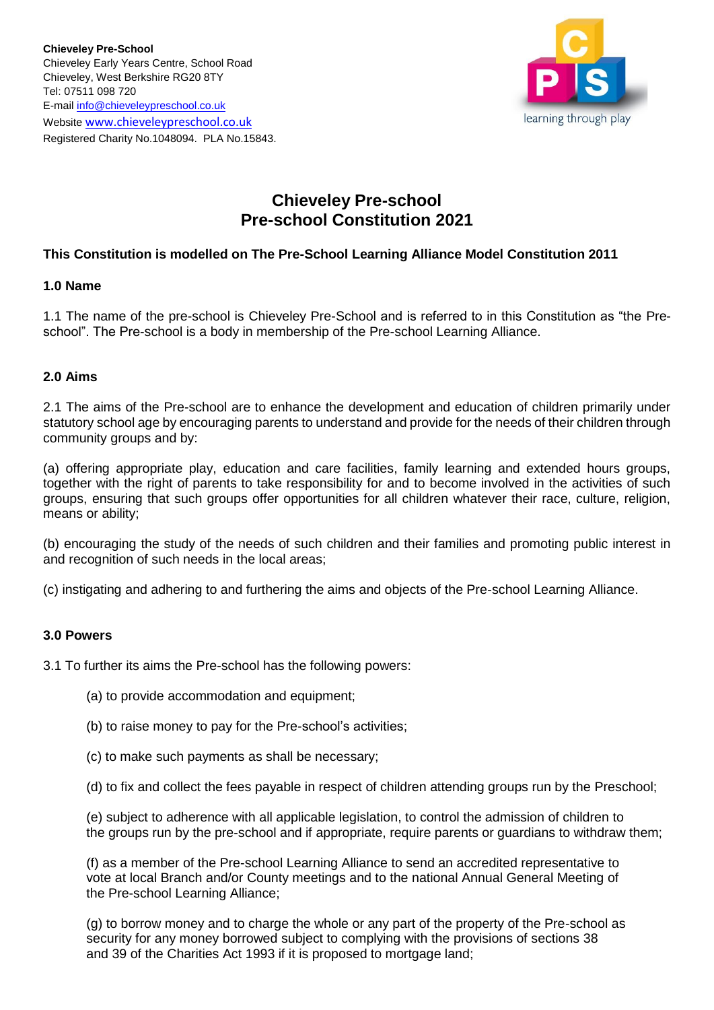

# **Chieveley Pre-school Pre-school Constitution 2021**

## **This Constitution is modelled on The Pre-School Learning Alliance Model Constitution 2011**

## **1.0 Name**

1.1 The name of the pre-school is Chieveley Pre-School and is referred to in this Constitution as "the Preschool". The Pre-school is a body in membership of the Pre-school Learning Alliance.

#### **2.0 Aims**

2.1 The aims of the Pre-school are to enhance the development and education of children primarily under statutory school age by encouraging parents to understand and provide for the needs of their children through community groups and by:

(a) offering appropriate play, education and care facilities, family learning and extended hours groups, together with the right of parents to take responsibility for and to become involved in the activities of such groups, ensuring that such groups offer opportunities for all children whatever their race, culture, religion, means or ability;

(b) encouraging the study of the needs of such children and their families and promoting public interest in and recognition of such needs in the local areas;

(c) instigating and adhering to and furthering the aims and objects of the Pre-school Learning Alliance.

#### **3.0 Powers**

3.1 To further its aims the Pre-school has the following powers:

- (a) to provide accommodation and equipment;
- (b) to raise money to pay for the Pre-school's activities;
- (c) to make such payments as shall be necessary;
- (d) to fix and collect the fees payable in respect of children attending groups run by the Preschool;

(e) subject to adherence with all applicable legislation, to control the admission of children to the groups run by the pre-school and if appropriate, require parents or guardians to withdraw them;

(f) as a member of the Pre-school Learning Alliance to send an accredited representative to vote at local Branch and/or County meetings and to the national Annual General Meeting of the Pre-school Learning Alliance;

(g) to borrow money and to charge the whole or any part of the property of the Pre-school as security for any money borrowed subject to complying with the provisions of sections 38 and 39 of the Charities Act 1993 if it is proposed to mortgage land;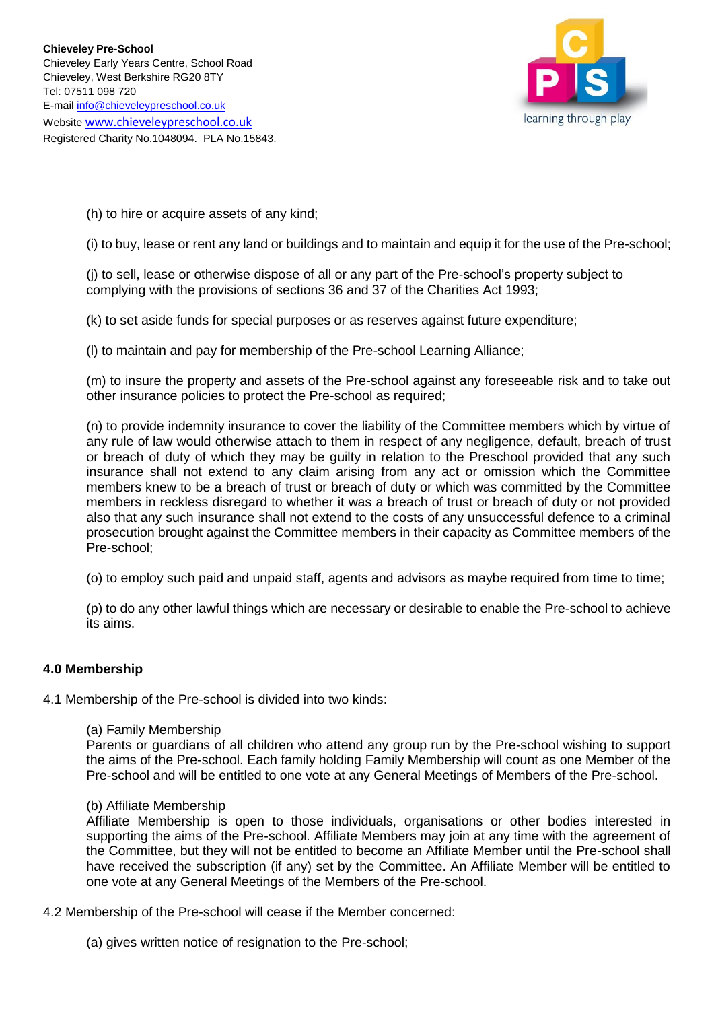

(h) to hire or acquire assets of any kind;

(i) to buy, lease or rent any land or buildings and to maintain and equip it for the use of the Pre-school;

(j) to sell, lease or otherwise dispose of all or any part of the Pre-school's property subject to complying with the provisions of sections 36 and 37 of the Charities Act 1993;

(k) to set aside funds for special purposes or as reserves against future expenditure;

(l) to maintain and pay for membership of the Pre-school Learning Alliance;

(m) to insure the property and assets of the Pre-school against any foreseeable risk and to take out other insurance policies to protect the Pre-school as required;

(n) to provide indemnity insurance to cover the liability of the Committee members which by virtue of any rule of law would otherwise attach to them in respect of any negligence, default, breach of trust or breach of duty of which they may be guilty in relation to the Preschool provided that any such insurance shall not extend to any claim arising from any act or omission which the Committee members knew to be a breach of trust or breach of duty or which was committed by the Committee members in reckless disregard to whether it was a breach of trust or breach of duty or not provided also that any such insurance shall not extend to the costs of any unsuccessful defence to a criminal prosecution brought against the Committee members in their capacity as Committee members of the Pre-school;

(o) to employ such paid and unpaid staff, agents and advisors as maybe required from time to time;

(p) to do any other lawful things which are necessary or desirable to enable the Pre-school to achieve its aims.

## **4.0 Membership**

4.1 Membership of the Pre-school is divided into two kinds:

(a) Family Membership

Parents or guardians of all children who attend any group run by the Pre-school wishing to support the aims of the Pre-school. Each family holding Family Membership will count as one Member of the Pre-school and will be entitled to one vote at any General Meetings of Members of the Pre-school.

#### (b) Affiliate Membership

Affiliate Membership is open to those individuals, organisations or other bodies interested in supporting the aims of the Pre-school. Affiliate Members may join at any time with the agreement of the Committee, but they will not be entitled to become an Affiliate Member until the Pre-school shall have received the subscription (if any) set by the Committee. An Affiliate Member will be entitled to one vote at any General Meetings of the Members of the Pre-school.

4.2 Membership of the Pre-school will cease if the Member concerned:

(a) gives written notice of resignation to the Pre-school;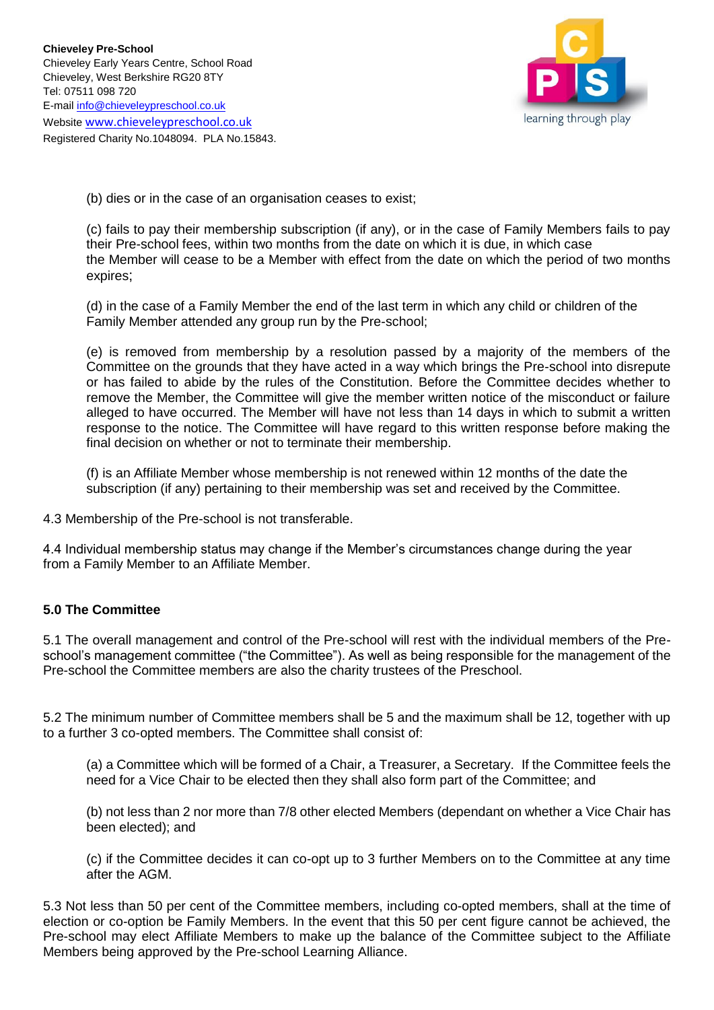

(b) dies or in the case of an organisation ceases to exist;

(c) fails to pay their membership subscription (if any), or in the case of Family Members fails to pay their Pre-school fees, within two months from the date on which it is due, in which case the Member will cease to be a Member with effect from the date on which the period of two months expires;

(d) in the case of a Family Member the end of the last term in which any child or children of the Family Member attended any group run by the Pre-school;

(e) is removed from membership by a resolution passed by a majority of the members of the Committee on the grounds that they have acted in a way which brings the Pre-school into disrepute or has failed to abide by the rules of the Constitution. Before the Committee decides whether to remove the Member, the Committee will give the member written notice of the misconduct or failure alleged to have occurred. The Member will have not less than 14 days in which to submit a written response to the notice. The Committee will have regard to this written response before making the final decision on whether or not to terminate their membership.

(f) is an Affiliate Member whose membership is not renewed within 12 months of the date the subscription (if any) pertaining to their membership was set and received by the Committee.

4.3 Membership of the Pre-school is not transferable.

4.4 Individual membership status may change if the Member's circumstances change during the year from a Family Member to an Affiliate Member.

## **5.0 The Committee**

5.1 The overall management and control of the Pre-school will rest with the individual members of the Preschool's management committee ("the Committee"). As well as being responsible for the management of the Pre-school the Committee members are also the charity trustees of the Preschool.

5.2 The minimum number of Committee members shall be 5 and the maximum shall be 12, together with up to a further 3 co-opted members. The Committee shall consist of:

(a) a Committee which will be formed of a Chair, a Treasurer, a Secretary. If the Committee feels the need for a Vice Chair to be elected then they shall also form part of the Committee; and

(b) not less than 2 nor more than 7/8 other elected Members (dependant on whether a Vice Chair has been elected); and

(c) if the Committee decides it can co-opt up to 3 further Members on to the Committee at any time after the AGM.

5.3 Not less than 50 per cent of the Committee members, including co-opted members, shall at the time of election or co-option be Family Members. In the event that this 50 per cent figure cannot be achieved, the Pre-school may elect Affiliate Members to make up the balance of the Committee subject to the Affiliate Members being approved by the Pre-school Learning Alliance.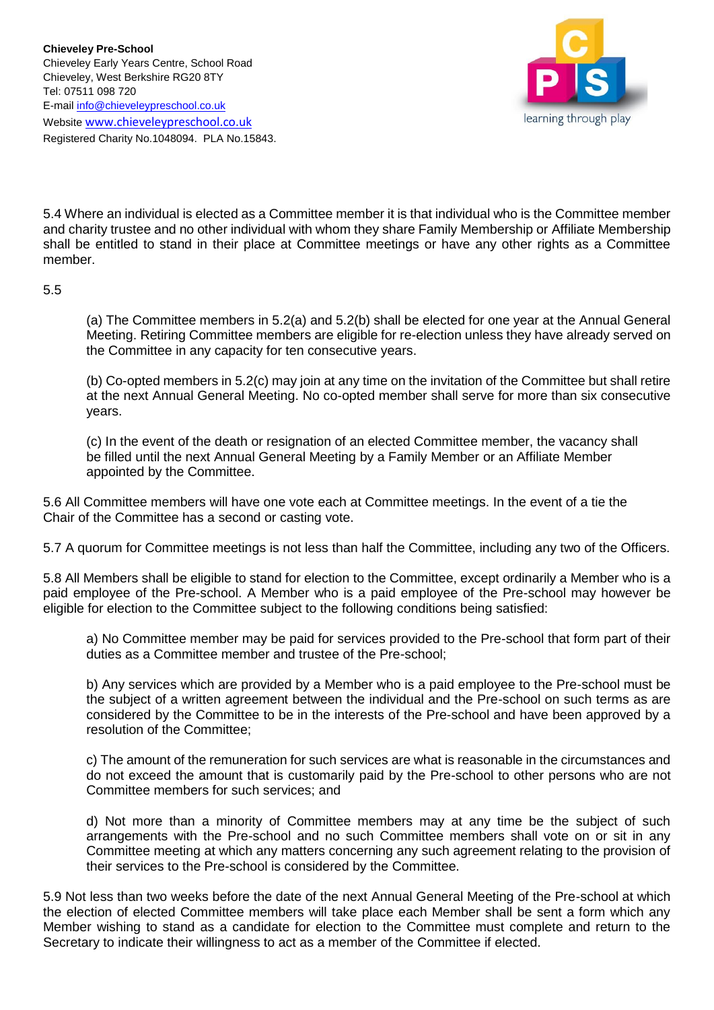

5.4 Where an individual is elected as a Committee member it is that individual who is the Committee member and charity trustee and no other individual with whom they share Family Membership or Affiliate Membership shall be entitled to stand in their place at Committee meetings or have any other rights as a Committee member.

5.5

(a) The Committee members in 5.2(a) and 5.2(b) shall be elected for one year at the Annual General Meeting. Retiring Committee members are eligible for re-election unless they have already served on the Committee in any capacity for ten consecutive years.

(b) Co-opted members in 5.2(c) may join at any time on the invitation of the Committee but shall retire at the next Annual General Meeting. No co-opted member shall serve for more than six consecutive years.

(c) In the event of the death or resignation of an elected Committee member, the vacancy shall be filled until the next Annual General Meeting by a Family Member or an Affiliate Member appointed by the Committee.

5.6 All Committee members will have one vote each at Committee meetings. In the event of a tie the Chair of the Committee has a second or casting vote.

5.7 A quorum for Committee meetings is not less than half the Committee, including any two of the Officers.

5.8 All Members shall be eligible to stand for election to the Committee, except ordinarily a Member who is a paid employee of the Pre-school. A Member who is a paid employee of the Pre-school may however be eligible for election to the Committee subject to the following conditions being satisfied:

a) No Committee member may be paid for services provided to the Pre-school that form part of their duties as a Committee member and trustee of the Pre-school;

b) Any services which are provided by a Member who is a paid employee to the Pre-school must be the subject of a written agreement between the individual and the Pre-school on such terms as are considered by the Committee to be in the interests of the Pre-school and have been approved by a resolution of the Committee;

c) The amount of the remuneration for such services are what is reasonable in the circumstances and do not exceed the amount that is customarily paid by the Pre-school to other persons who are not Committee members for such services; and

d) Not more than a minority of Committee members may at any time be the subject of such arrangements with the Pre-school and no such Committee members shall vote on or sit in any Committee meeting at which any matters concerning any such agreement relating to the provision of their services to the Pre-school is considered by the Committee.

5.9 Not less than two weeks before the date of the next Annual General Meeting of the Pre-school at which the election of elected Committee members will take place each Member shall be sent a form which any Member wishing to stand as a candidate for election to the Committee must complete and return to the Secretary to indicate their willingness to act as a member of the Committee if elected.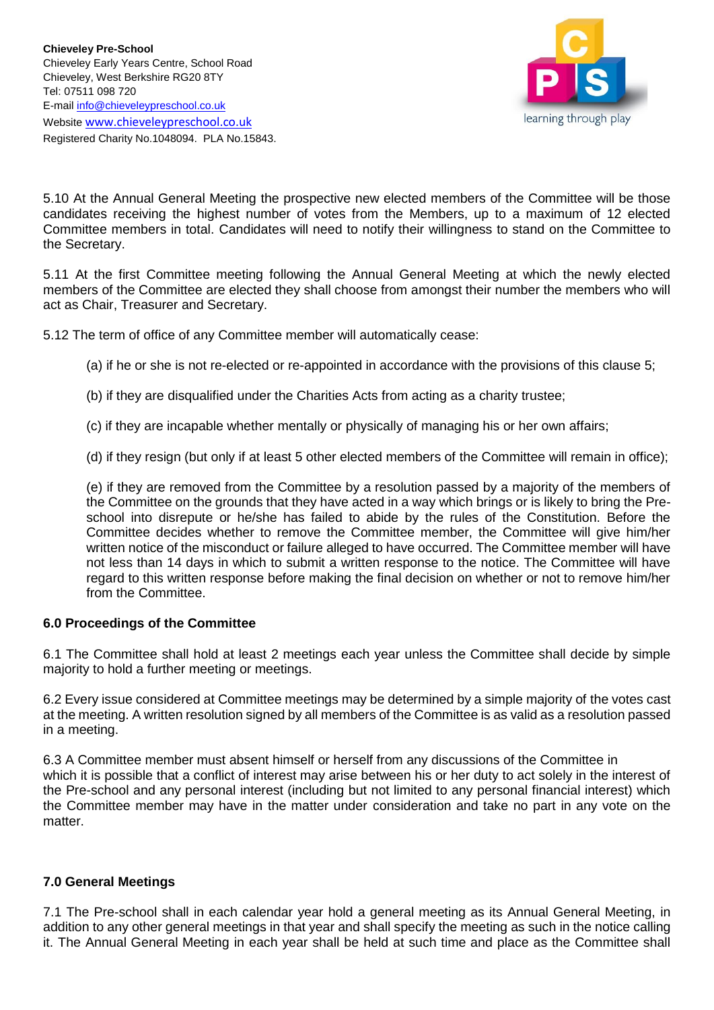

5.10 At the Annual General Meeting the prospective new elected members of the Committee will be those candidates receiving the highest number of votes from the Members, up to a maximum of 12 elected Committee members in total. Candidates will need to notify their willingness to stand on the Committee to the Secretary.

5.11 At the first Committee meeting following the Annual General Meeting at which the newly elected members of the Committee are elected they shall choose from amongst their number the members who will act as Chair, Treasurer and Secretary.

5.12 The term of office of any Committee member will automatically cease:

(a) if he or she is not re-elected or re-appointed in accordance with the provisions of this clause 5;

(b) if they are disqualified under the Charities Acts from acting as a charity trustee;

(c) if they are incapable whether mentally or physically of managing his or her own affairs;

(d) if they resign (but only if at least 5 other elected members of the Committee will remain in office);

(e) if they are removed from the Committee by a resolution passed by a majority of the members of the Committee on the grounds that they have acted in a way which brings or is likely to bring the Preschool into disrepute or he/she has failed to abide by the rules of the Constitution. Before the Committee decides whether to remove the Committee member, the Committee will give him/her written notice of the misconduct or failure alleged to have occurred. The Committee member will have not less than 14 days in which to submit a written response to the notice. The Committee will have regard to this written response before making the final decision on whether or not to remove him/her from the Committee.

## **6.0 Proceedings of the Committee**

6.1 The Committee shall hold at least 2 meetings each year unless the Committee shall decide by simple majority to hold a further meeting or meetings.

6.2 Every issue considered at Committee meetings may be determined by a simple majority of the votes cast at the meeting. A written resolution signed by all members of the Committee is as valid as a resolution passed in a meeting.

6.3 A Committee member must absent himself or herself from any discussions of the Committee in which it is possible that a conflict of interest may arise between his or her duty to act solely in the interest of the Pre-school and any personal interest (including but not limited to any personal financial interest) which the Committee member may have in the matter under consideration and take no part in any vote on the matter.

## **7.0 General Meetings**

7.1 The Pre-school shall in each calendar year hold a general meeting as its Annual General Meeting, in addition to any other general meetings in that year and shall specify the meeting as such in the notice calling it. The Annual General Meeting in each year shall be held at such time and place as the Committee shall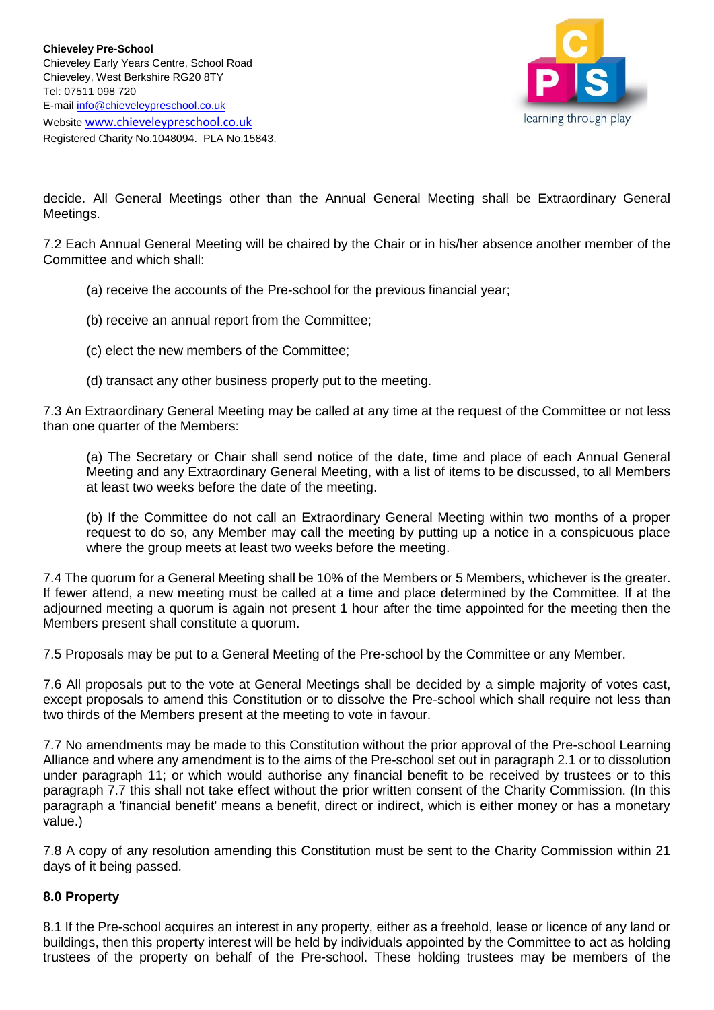

decide. All General Meetings other than the Annual General Meeting shall be Extraordinary General Meetings.

7.2 Each Annual General Meeting will be chaired by the Chair or in his/her absence another member of the Committee and which shall:

- (a) receive the accounts of the Pre-school for the previous financial year;
- (b) receive an annual report from the Committee;
- (c) elect the new members of the Committee;
- (d) transact any other business properly put to the meeting.

7.3 An Extraordinary General Meeting may be called at any time at the request of the Committee or not less than one quarter of the Members:

(a) The Secretary or Chair shall send notice of the date, time and place of each Annual General Meeting and any Extraordinary General Meeting, with a list of items to be discussed, to all Members at least two weeks before the date of the meeting.

(b) If the Committee do not call an Extraordinary General Meeting within two months of a proper request to do so, any Member may call the meeting by putting up a notice in a conspicuous place where the group meets at least two weeks before the meeting.

7.4 The quorum for a General Meeting shall be 10% of the Members or 5 Members, whichever is the greater. If fewer attend, a new meeting must be called at a time and place determined by the Committee. If at the adjourned meeting a quorum is again not present 1 hour after the time appointed for the meeting then the Members present shall constitute a quorum.

7.5 Proposals may be put to a General Meeting of the Pre-school by the Committee or any Member.

7.6 All proposals put to the vote at General Meetings shall be decided by a simple majority of votes cast, except proposals to amend this Constitution or to dissolve the Pre-school which shall require not less than two thirds of the Members present at the meeting to vote in favour.

7.7 No amendments may be made to this Constitution without the prior approval of the Pre-school Learning Alliance and where any amendment is to the aims of the Pre-school set out in paragraph 2.1 or to dissolution under paragraph 11; or which would authorise any financial benefit to be received by trustees or to this paragraph 7.7 this shall not take effect without the prior written consent of the Charity Commission. (In this paragraph a 'financial benefit' means a benefit, direct or indirect, which is either money or has a monetary value.)

7.8 A copy of any resolution amending this Constitution must be sent to the Charity Commission within 21 days of it being passed.

## **8.0 Property**

8.1 If the Pre-school acquires an interest in any property, either as a freehold, lease or licence of any land or buildings, then this property interest will be held by individuals appointed by the Committee to act as holding trustees of the property on behalf of the Pre-school. These holding trustees may be members of the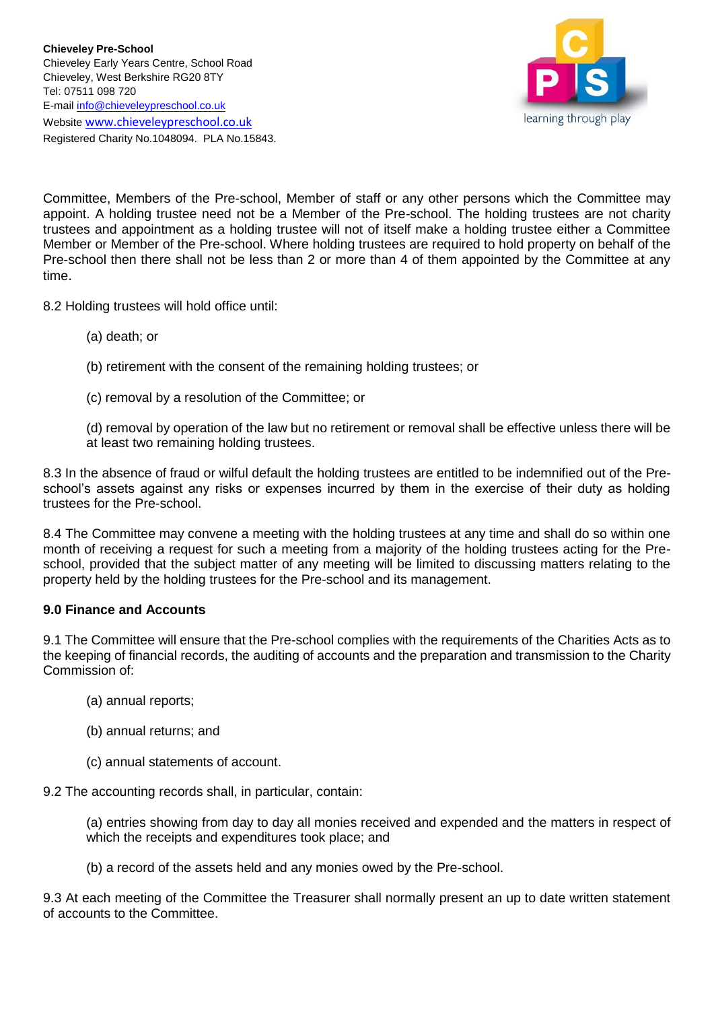

Committee, Members of the Pre-school, Member of staff or any other persons which the Committee may appoint. A holding trustee need not be a Member of the Pre-school. The holding trustees are not charity trustees and appointment as a holding trustee will not of itself make a holding trustee either a Committee Member or Member of the Pre-school. Where holding trustees are required to hold property on behalf of the Pre-school then there shall not be less than 2 or more than 4 of them appointed by the Committee at any time.

8.2 Holding trustees will hold office until:

- (a) death; or
- (b) retirement with the consent of the remaining holding trustees; or
- (c) removal by a resolution of the Committee; or

(d) removal by operation of the law but no retirement or removal shall be effective unless there will be at least two remaining holding trustees.

8.3 In the absence of fraud or wilful default the holding trustees are entitled to be indemnified out of the Preschool's assets against any risks or expenses incurred by them in the exercise of their duty as holding trustees for the Pre-school.

8.4 The Committee may convene a meeting with the holding trustees at any time and shall do so within one month of receiving a request for such a meeting from a majority of the holding trustees acting for the Preschool, provided that the subject matter of any meeting will be limited to discussing matters relating to the property held by the holding trustees for the Pre-school and its management.

## **9.0 Finance and Accounts**

9.1 The Committee will ensure that the Pre-school complies with the requirements of the Charities Acts as to the keeping of financial records, the auditing of accounts and the preparation and transmission to the Charity Commission of:

- (a) annual reports;
- (b) annual returns; and
- (c) annual statements of account.

9.2 The accounting records shall, in particular, contain:

(a) entries showing from day to day all monies received and expended and the matters in respect of which the receipts and expenditures took place; and

(b) a record of the assets held and any monies owed by the Pre-school.

9.3 At each meeting of the Committee the Treasurer shall normally present an up to date written statement of accounts to the Committee.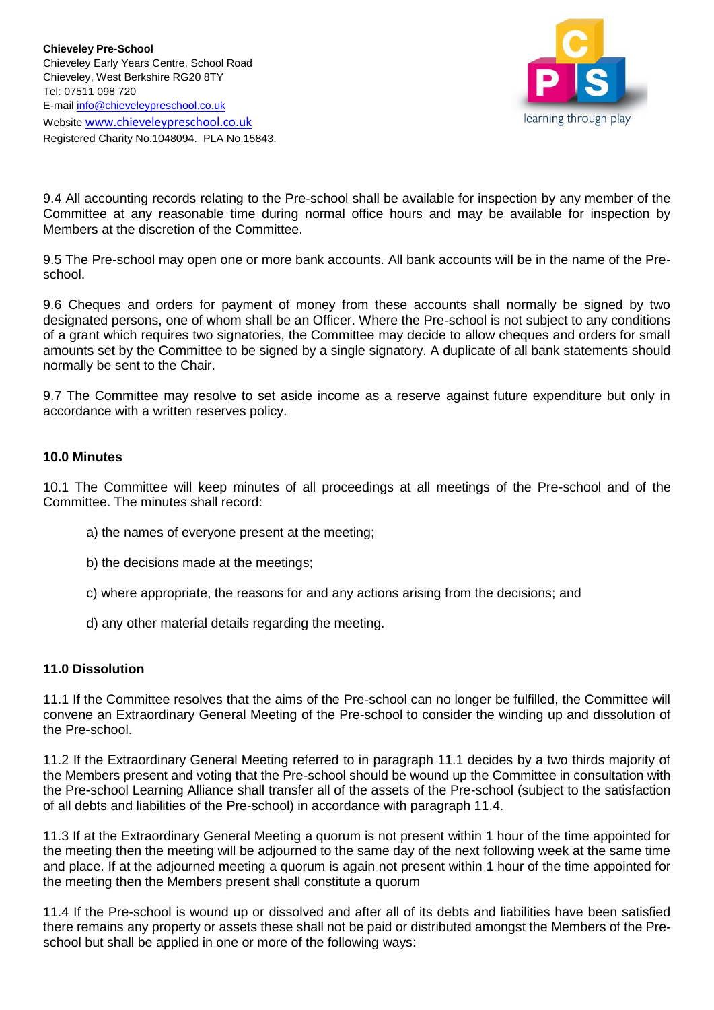

9.4 All accounting records relating to the Pre-school shall be available for inspection by any member of the Committee at any reasonable time during normal office hours and may be available for inspection by Members at the discretion of the Committee.

9.5 The Pre-school may open one or more bank accounts. All bank accounts will be in the name of the Preschool.

9.6 Cheques and orders for payment of money from these accounts shall normally be signed by two designated persons, one of whom shall be an Officer. Where the Pre-school is not subject to any conditions of a grant which requires two signatories, the Committee may decide to allow cheques and orders for small amounts set by the Committee to be signed by a single signatory. A duplicate of all bank statements should normally be sent to the Chair.

9.7 The Committee may resolve to set aside income as a reserve against future expenditure but only in accordance with a written reserves policy.

## **10.0 Minutes**

10.1 The Committee will keep minutes of all proceedings at all meetings of the Pre-school and of the Committee. The minutes shall record:

- a) the names of everyone present at the meeting;
- b) the decisions made at the meetings;
- c) where appropriate, the reasons for and any actions arising from the decisions; and
- d) any other material details regarding the meeting.

#### **11.0 Dissolution**

11.1 If the Committee resolves that the aims of the Pre-school can no longer be fulfilled, the Committee will convene an Extraordinary General Meeting of the Pre-school to consider the winding up and dissolution of the Pre-school.

11.2 If the Extraordinary General Meeting referred to in paragraph 11.1 decides by a two thirds majority of the Members present and voting that the Pre-school should be wound up the Committee in consultation with the Pre-school Learning Alliance shall transfer all of the assets of the Pre-school (subject to the satisfaction of all debts and liabilities of the Pre-school) in accordance with paragraph 11.4.

11.3 If at the Extraordinary General Meeting a quorum is not present within 1 hour of the time appointed for the meeting then the meeting will be adjourned to the same day of the next following week at the same time and place. If at the adjourned meeting a quorum is again not present within 1 hour of the time appointed for the meeting then the Members present shall constitute a quorum

11.4 If the Pre-school is wound up or dissolved and after all of its debts and liabilities have been satisfied there remains any property or assets these shall not be paid or distributed amongst the Members of the Preschool but shall be applied in one or more of the following ways: